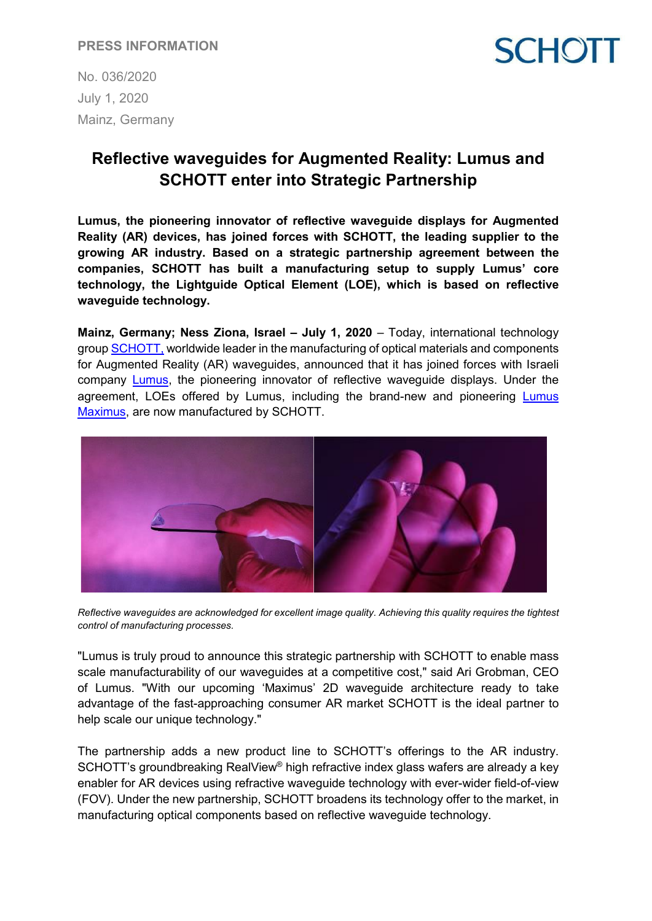No. 036/2020 July 1, 2020 Mainz, Germany



# **Reflective waveguides for Augmented Reality: Lumus and SCHOTT enter into Strategic Partnership**

**Lumus, the pioneering innovator of reflective waveguide displays for Augmented Reality (AR) devices, has joined forces with SCHOTT, the leading supplier to the growing AR industry. Based on a strategic partnership agreement between the companies, SCHOTT has built a manufacturing setup to supply Lumus' core technology, the Lightguide Optical Element (LOE), which is based on reflective waveguide technology.**

**Mainz, Germany; Ness Ziona, Israel – July 1, 2020** – Today, international technology grou[p SCHOTT,](http://www.schott.com/) worldwide leader in the manufacturing of optical materials and components for Augmented Reality (AR) waveguides, announced that it has joined forces with Israeli company [Lumus,](https://lumusvision.com/) the pioneering innovator of reflective waveguide displays. Under the agreement, LOEs offered by Lumus, including the brand-new and pioneering [Lumus](https://youtu.be/uCKI5wjjA6I)  [Maximus,](https://youtu.be/uCKI5wjjA6I) are now manufactured by SCHOTT.



*Reflective waveguides are acknowledged for excellent image quality. Achieving this quality requires the tightest control of manufacturing processes.*

"Lumus is truly proud to announce this strategic partnership with SCHOTT to enable mass scale manufacturability of our waveguides at a competitive cost," said Ari Grobman, CEO of Lumus. "With our upcoming 'Maximus' 2D waveguide architecture ready to take advantage of the fast-approaching consumer AR market SCHOTT is the ideal partner to help scale our unique technology."

The partnership adds a new product line to SCHOTT's offerings to the AR industry. SCHOTT's groundbreaking RealView® high refractive index glass wafers are already a key enabler for AR devices using refractive waveguide technology with ever-wider field-of-view (FOV). Under the new partnership, SCHOTT broadens its technology offer to the market, in manufacturing optical components based on reflective waveguide technology.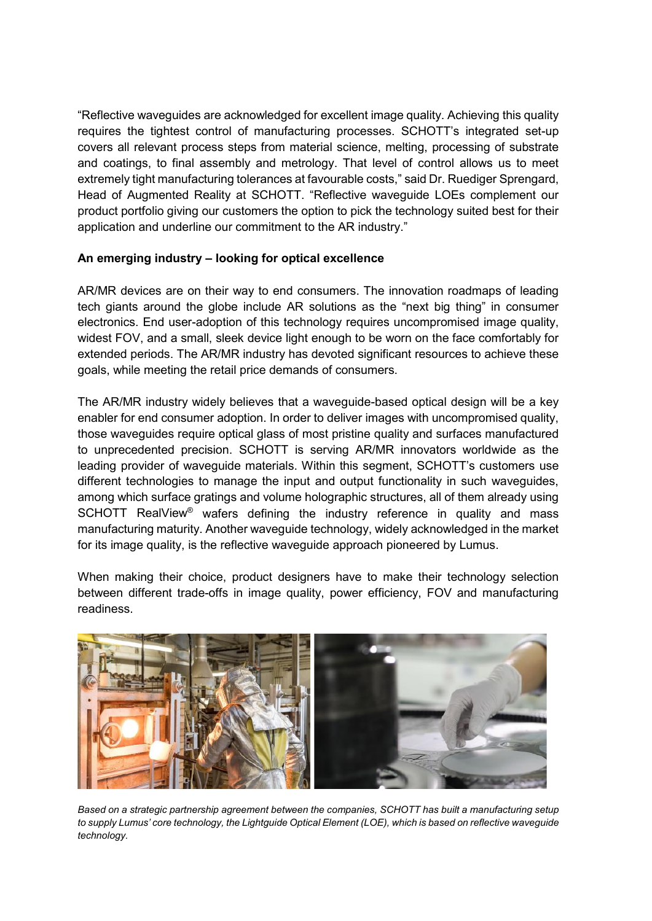"Reflective waveguides are acknowledged for excellent image quality. Achieving this quality requires the tightest control of manufacturing processes. SCHOTT's integrated set-up covers all relevant process steps from material science, melting, processing of substrate and coatings, to final assembly and metrology. That level of control allows us to meet extremely tight manufacturing tolerances at favourable costs," said Dr. Ruediger Sprengard, Head of Augmented Reality at SCHOTT. "Reflective waveguide LOEs complement our product portfolio giving our customers the option to pick the technology suited best for their application and underline our commitment to the AR industry."

## **An emerging industry – looking for optical excellence**

AR/MR devices are on their way to end consumers. The innovation roadmaps of leading tech giants around the globe include AR solutions as the "next big thing" in consumer electronics. End user-adoption of this technology requires uncompromised image quality, widest FOV, and a small, sleek device light enough to be worn on the face comfortably for extended periods. The AR/MR industry has devoted significant resources to achieve these goals, while meeting the retail price demands of consumers.

The AR/MR industry widely believes that a waveguide-based optical design will be a key enabler for end consumer adoption. In order to deliver images with uncompromised quality, those waveguides require optical glass of most pristine quality and surfaces manufactured to unprecedented precision. SCHOTT is serving AR/MR innovators worldwide as the leading provider of waveguide materials. Within this segment, SCHOTT's customers use different technologies to manage the input and output functionality in such waveguides, among which surface gratings and volume holographic structures, all of them already using SCHOTT RealView<sup>®</sup> wafers defining the industry reference in quality and mass manufacturing maturity. Another waveguide technology, widely acknowledged in the market for its image quality, is the reflective waveguide approach pioneered by Lumus.

When making their choice, product designers have to make their technology selection between different trade-offs in image quality, power efficiency, FOV and manufacturing readiness.



*Based on a strategic partnership agreement between the companies, SCHOTT has built a manufacturing setup to supply Lumus' core technology, the Lightguide Optical Element (LOE), which is based on reflective waveguide technology.*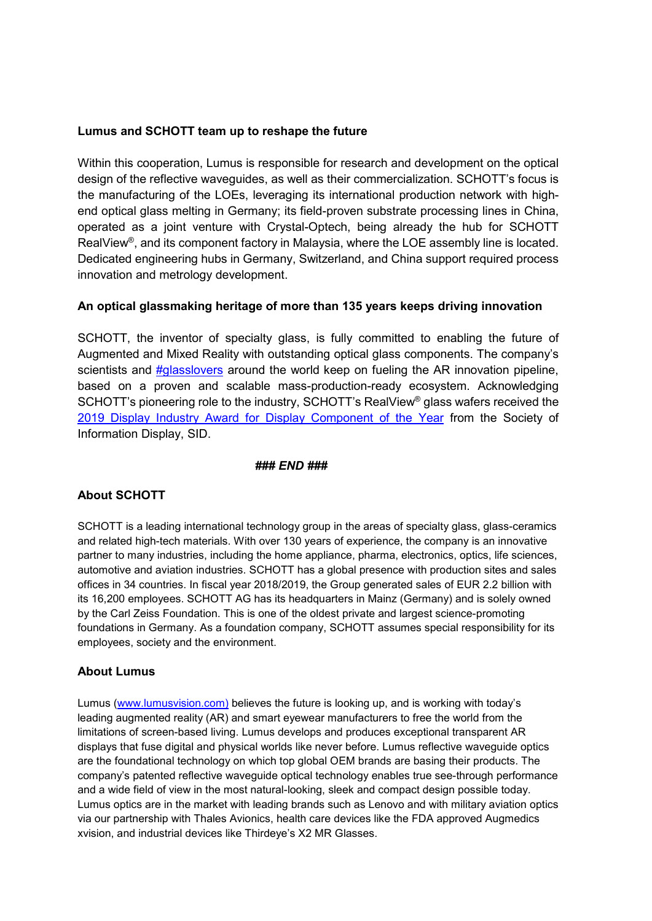#### **Lumus and SCHOTT team up to reshape the future**

Within this cooperation, Lumus is responsible for research and development on the optical design of the reflective waveguides, as well as their commercialization. SCHOTT's focus is the manufacturing of the LOEs, leveraging its international production network with highend optical glass melting in Germany; its field-proven substrate processing lines in China, operated as a joint venture with Crystal-Optech, being already the hub for SCHOTT RealView®, and its component factory in Malaysia, where the LOE assembly line is located. Dedicated engineering hubs in Germany, Switzerland, and China support required process innovation and metrology development.

### **An optical glassmaking heritage of more than 135 years keeps driving innovation**

SCHOTT, the inventor of specialty glass, is fully committed to enabling the future of Augmented and Mixed Reality with outstanding optical glass components. The company's scientists and  $\frac{H}{q}$  asslovers around the world keep on fueling the AR innovation pipeline, based on a proven and scalable mass-production-ready ecosystem. Acknowledging SCHOTT's pioneering role to the industry, SCHOTT's RealView® glass wafers received the [2019 Display Industry Award for Display Component of the Year](http://www.sid.org/About/Awards/DisplayIndustryAwards.aspx) from the Society of Information Display, SID.

#### *### END ###*

## **About SCHOTT**

SCHOTT is a leading international technology group in the areas of specialty glass, glass-ceramics and related high-tech materials. With over 130 years of experience, the company is an innovative partner to many industries, including the home appliance, pharma, electronics, optics, life sciences, automotive and aviation industries. SCHOTT has a global presence with production sites and sales offices in 34 countries. In fiscal year 2018/2019, the Group generated sales of EUR 2.2 billion with its 16,200 employees. SCHOTT AG has its headquarters in Mainz (Germany) and is solely owned by the Carl Zeiss Foundation. This is one of the oldest private and largest science-promoting foundations in Germany. As a foundation company, SCHOTT assumes special responsibility for its employees, society and the environment.

## **About Lumus**

Lumus [\(www.lumusvision.com\)](http://www.lumusvision.com)/) believes the future is looking up, and is working with today's leading augmented reality (AR) and smart eyewear manufacturers to free the world from the limitations of screen-based living. Lumus develops and produces exceptional transparent AR displays that fuse digital and physical worlds like never before. Lumus reflective waveguide optics are the foundational technology on which top global OEM brands are basing their products. The company's patented reflective waveguide optical technology enables true see-through performance and a wide field of view in the most natural-looking, sleek and compact design possible today. Lumus optics are in the market with leading brands such as Lenovo and with military aviation optics via our partnership with Thales Avionics, health care devices like the FDA approved Augmedics xvision, and industrial devices like Thirdeye's X2 MR Glasses.